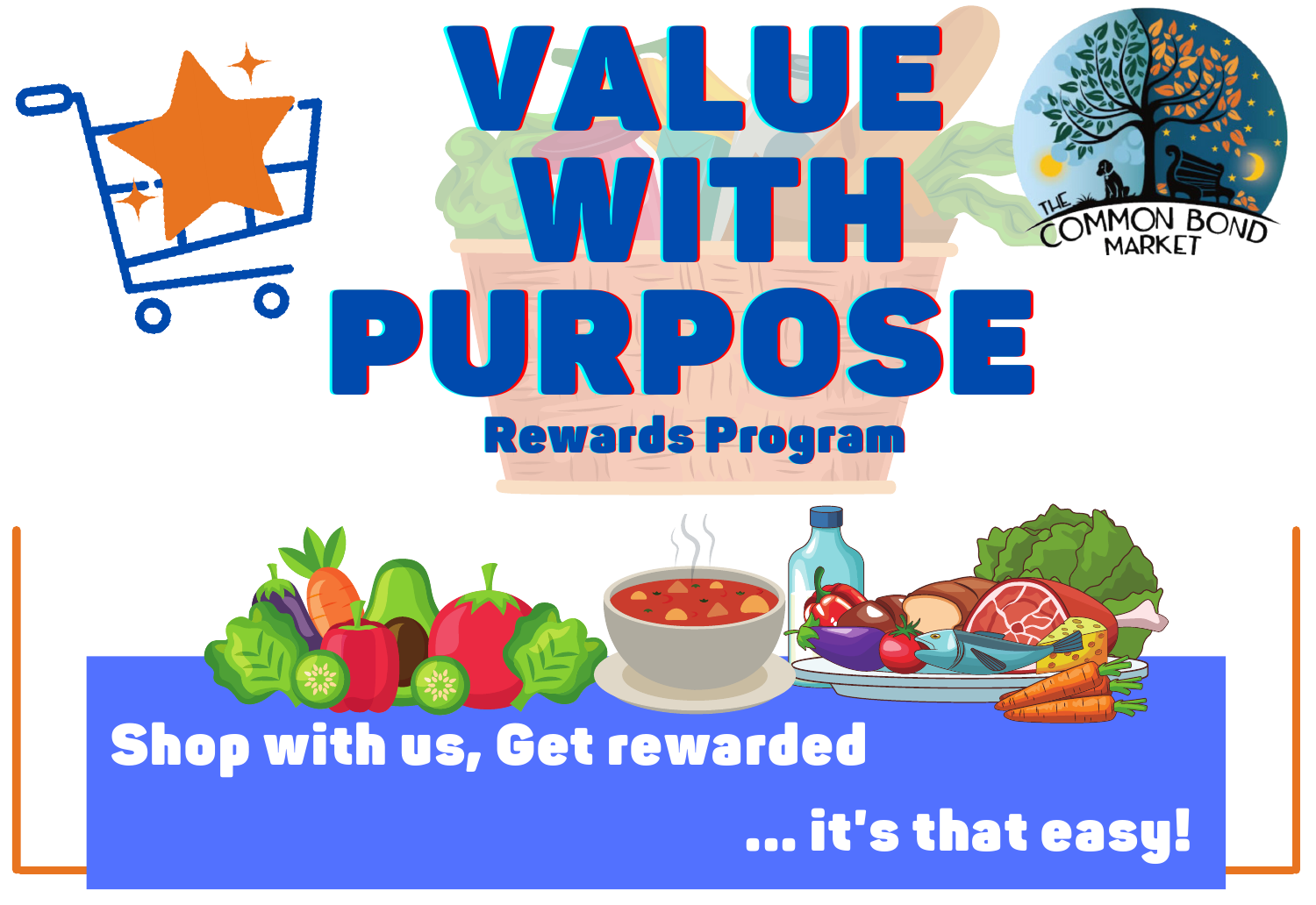